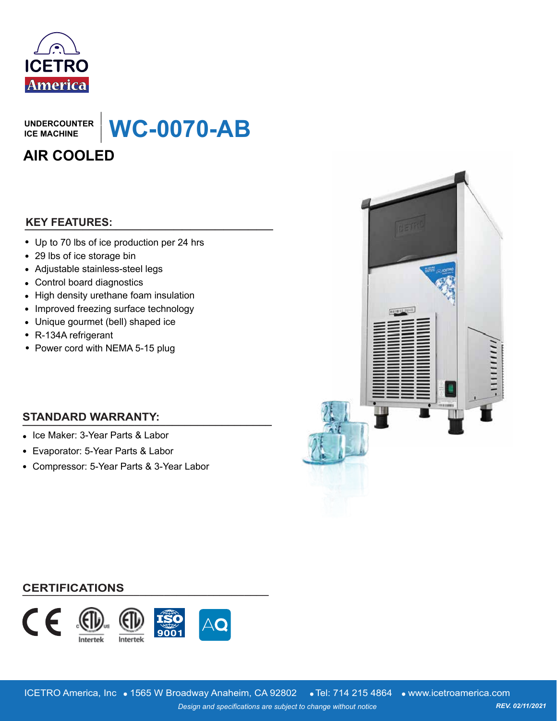

**UNDERCOUNTER ICE MACHINE**

**WC-0070-AB**

## **AIR COOLED**

## **\_\_\_\_\_\_\_\_\_\_\_\_\_\_\_\_\_\_\_\_\_\_\_\_\_\_\_\_\_\_ KEY FEATURES:**

Up to 70 lbs of ice production per 24 hrs

**\_\_\_\_\_\_\_**

- 29 lbs of ice storage bin
- Adjustable stainless-steel legs
- Control board diagnostics
- High density urethane foam insulation
- Improved freezing surface technology
- Unique gourmet (bell) shaped ice
- R-134A refrigerant
- Power cord with NEMA 5-15 plug

## **STANDARD WARRANTY: \_\_\_\_\_\_\_\_\_\_\_\_\_\_\_\_\_\_\_\_\_\_\_\_\_\_\_\_\_\_\_\_\_\_\_\_\_\_\_\_**

- Ice Maker: 3-Year Parts & Labor
- Evaporator: 5-Year Parts & Labor
- Compressor: 5-Year Parts & 3-Year Labor



### **\_\_\_\_\_\_\_\_\_\_\_\_\_\_\_\_\_\_\_\_\_\_\_\_\_\_\_\_\_\_\_\_\_\_\_\_\_\_\_\_ CERTIFICATIONS**